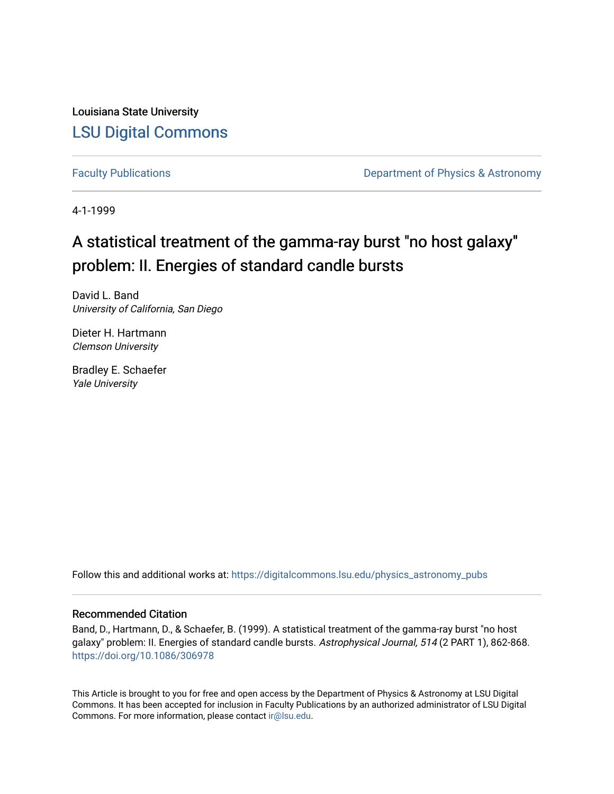Louisiana State University [LSU Digital Commons](https://digitalcommons.lsu.edu/)

[Faculty Publications](https://digitalcommons.lsu.edu/physics_astronomy_pubs) **Exercise 2 and Table 2 and Table 2 and Table 2 and Table 2 and Table 2 and Table 2 and Table 2 and Table 2 and Table 2 and Table 2 and Table 2 and Table 2 and Table 2 and Table 2 and Table 2 and Table** 

4-1-1999

# A statistical treatment of the gamma-ray burst "no host galaxy" problem: II. Energies of standard candle bursts

David L. Band University of California, San Diego

Dieter H. Hartmann Clemson University

Bradley E. Schaefer Yale University

Follow this and additional works at: [https://digitalcommons.lsu.edu/physics\\_astronomy\\_pubs](https://digitalcommons.lsu.edu/physics_astronomy_pubs?utm_source=digitalcommons.lsu.edu%2Fphysics_astronomy_pubs%2F4778&utm_medium=PDF&utm_campaign=PDFCoverPages) 

# Recommended Citation

Band, D., Hartmann, D., & Schaefer, B. (1999). A statistical treatment of the gamma-ray burst "no host galaxy" problem: II. Energies of standard candle bursts. Astrophysical Journal, 514 (2 PART 1), 862-868. <https://doi.org/10.1086/306978>

This Article is brought to you for free and open access by the Department of Physics & Astronomy at LSU Digital Commons. It has been accepted for inclusion in Faculty Publications by an authorized administrator of LSU Digital Commons. For more information, please contact [ir@lsu.edu](mailto:ir@lsu.edu).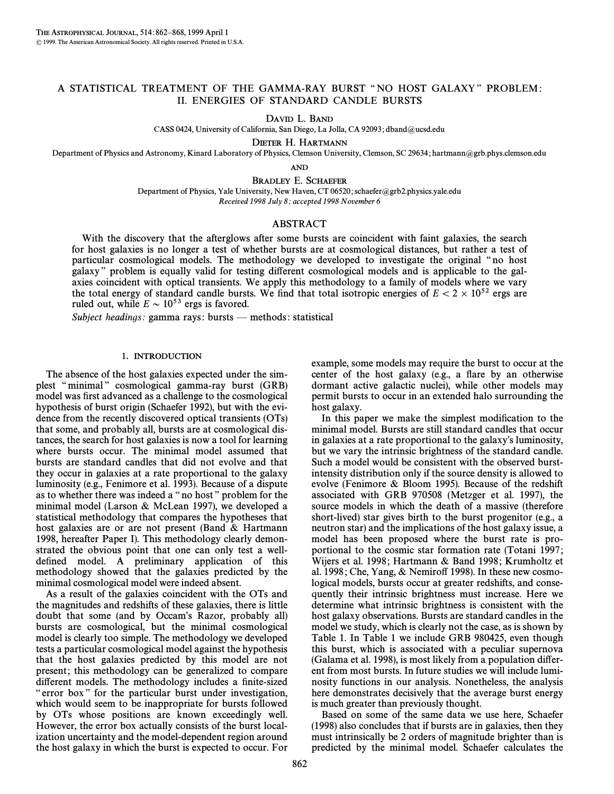# A STATISTICAL TREATMENT OF THE GAMMA-RAY BURST "NO HOST GALAXY" PROBLEM: II. ENERGIES OF STANDARD CANDLE BURSTS

DAVID L. BAND

CASS 0424, University of California, San Diego, La Jolla, CA 92093; dband@ucsd.edu

DIETER H. HARTMANN

Department of Physics and Astronomy, Kinard Laboratory of Physics, Clemson University, Clemson, SC 29634; hartmann@grb.phys.clemson.edu

AND

BRADLEY E. SCHAEFER

Department of Physics, Yale University, New Haven, CT 06520; schaefer@grb2.physics.yale.edu Received 1998 July 8; accepted 1998 November 6

# ABSTRACT

With the discovery that the afterglows after some bursts are coincident with faint galaxies, the search for host galaxies is no longer a test of whether bursts are at cosmological distances, but rather a test of particular cosmological models. The methodology we developed to investigate the original "no host galaxy" problem is equally valid for testing different cosmological models and is applicable to the galaxies coincident with optical transients. We apply this methodology to a family of models where we vary the total energy of standard candle bursts. We find that total isotropic energies of  $E < 2 \times 10^{52}$  ergs are ruled out, while  $E \sim 10^{53}$  ergs is favored.

Subject headings: gamma rays: bursts  $-$  methods: statistical

# 1. INTRODUCTION

The absence of the host galaxies expected under the simplest "minimal" cosmological gamma-ray burst (GRB) model was first advanced as a challenge to the cosmological hypothesis of burst origin (Schaefer 1992), but with the evidence from the recently discovered optical transients (OTs) that some, and probably all, bursts are at cosmological distances, the search for host galaxies is now a tool for learning where bursts occur. The minimal model assumed that bursts are standard candles that did not evolve and that they occur in galaxies at a rate proportional to the galaxy luminosity (e.g., Fenimore et al. 1993). Because of a dispute as to whether there was indeed a "no host" problem for the minimal model (Larson & McLean 1997), we developed a statistical methodology that compares the hypotheses that host galaxies are or are not present (Band & Hartmann 1998, hereafter Paper I). This methodology clearly demonstrated the obvious point that one can only test a welldefined model. A preliminary application of this methodology showed that the galaxies predicted by the minimal cosmological model were indeed absent.

As a result of the galaxies coincident with the OTs and the magnitudes and redshifts of these galaxies, there is little doubt that some (and by Occam's Razor, probably all) bursts are cosmological, but the minimal cosmological model is clearly too simple. The methodology we developed tests a particular cosmological model against the hypothesis that the host galaxies predicted by this model are not present; this methodology can be generalized to compare different models. The methodology includes a finite-sized " error box" for the particular burst under investigation, which would seem to be inappropriate for bursts followed by OTs whose positions are known exceedingly well. However, the error box actually consists of the burst localization uncertainty and the model-dependent region around the host galaxy in which the burst is expected to occur. For example, some models may require the burst to occur at the center of the host galaxy (e.g., a flare by an otherwise dormant active galactic nuclei), while other models may permit bursts to occur in an extended halo surrounding the host galaxy.

In this paper we make the simplest modification to the minimal model. Bursts are still standard candles that occur in galaxies at a rate proportional to the galaxy's luminosity, but we vary the intrinsic brightness of the standard candle. Such a model would be consistent with the observed burstintensity distribution only if the source density is allowed to evolve (Fenimore & Bloom 1995). Because of the redshift associated with GRB 970508 (Metzger et al. 1997), the source models in which the death of a massive (therefore short-lived) star gives birth to the burst progenitor (e.g., a neutron star) and the implications of the host galaxy issue, a model has been proposed where the burst rate is proportional to the cosmic star formation rate (Totani 1997; Wijers et al. 1998; Hartmann & Band 1998; Krumholtz et al. 1998; Che, Yang, & Nemiroff 1998). In these new cosmological models, bursts occur at greater redshifts, and consequently their intrinsic brightness must increase. Here we determine what intrinsic brightness is consistent with the host galaxy observations. Bursts are standard candles in the model we study, which is clearly not the case, as is shown by Table 1. In Table 1 we include GRB 980425, even though this burst, which is associated with a peculiar supernova (Galama et al. 1998), is most likely from a population di†erent from most bursts. In future studies we will include luminosity functions in our analysis. Nonetheless, the analysis here demonstrates decisively that the average burst energy is much greater than previously thought.

Based on some of the same data we use here, Schaefer (1998) also concludes that if bursts are in galaxies, then they must intrinsically be 2 orders of magnitude brighter than is predicted by the minimal model. Schaefer calculates the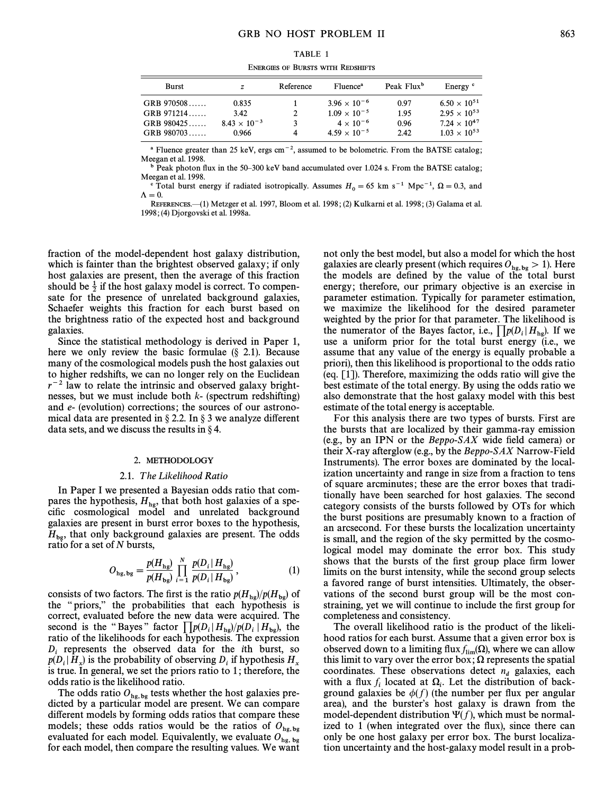#### TABLE 1

ENERGIES OF BURSTS WITH REDSHIFTS

| Burst        | z                     | Reference | Fluence <sup>a</sup>  | Peak Flux <sup>b</sup> | Energy <sup>c</sup>   |
|--------------|-----------------------|-----------|-----------------------|------------------------|-----------------------|
| GRB $970508$ | 0.835                 |           | $3.96 \times 10^{-6}$ | 0.97                   | $6.50 \times 10^{51}$ |
| GRB 971214   | 3.42                  | 2         | $1.09 \times 10^{-5}$ | 1.95                   | $2.95 \times 10^{53}$ |
| GRB $980425$ | $8.43 \times 10^{-3}$ | 3         | $4 \times 10^{-6}$    | 0.96                   | $7.24 \times 10^{47}$ |
| GRB $980703$ | 0.966                 | 4         | $4.59 \times 10^{-5}$ | 2.42                   | $1.03 \times 10^{53}$ |

<sup>a</sup> Fluence greater than 25 keV, ergs cm<sup>-2</sup>, assumed to be bolometric. From the BATSE catalog; Meegan et al. 1998.

<sup>b</sup> Peak photon flux in the 50–300 keV band accumulated over 1.024 s. From the BATSE catalog; Meegan et al. 1998.

<sup>c</sup> Total burst energy if radiated isotropically. Assumes  $H_0 = 65$  km s<sup>-1</sup> Mpc<sup>-1</sup>,  $\Omega = 0.3$ , and  $-0$  $\Lambda = 0.$ 

REFERENCES.<sup>(1)</sup> Metzger et al. 1997, Bloom et al. 1998; (2) Kulkarni et al. 1998; (3) Galama et al. 1998 ; (4) Djorgovski et al. 1998a.

fraction of the model-dependent host galaxy distribution, which is fainter than the brightest observed galaxy; if only host galaxies are present, then the average of this fraction should be  $\frac{1}{2}$  if the host galaxy model is correct. To compensate for the presence of unrelated background galaxies, Schaefer weights this fraction for each burst based on the brightness ratio of the expected host and background galaxies.

Since the statistical methodology is derived in Paper 1, here we only review the basic formulae  $(\S 2.1)$ . Because many of the cosmological models push the host galaxies out to higher redshifts, we can no longer rely on the Euclidean  $r^{-2}$  law to relate the intrinsic and observed galaxy brightnesses, but we must include both  $k$ - (spectrum redshifting) and e- (evolution) corrections; the sources of our astronomical data are presented in  $\S 2.2$ . In  $\S 3$  we analyze different data sets, and we discuss the results in  $\S$  4.

#### 2. METHODOLOGY

#### 2.1. The Likelihood Ratio

In Paper I we presented a Bayesian odds ratio that compares the hypothesis,  $H_{\text{hg}}$ , that both host galaxies of a specific cosmological model and unrelated background galaxies are present in burst error boxes to the hypothesis,  $H_{\text{bg}}$ , that only background galaxies are present. The odds ratio for a set of N bursts,

$$
O_{\text{hg},\text{bg}} = \frac{p(H_{\text{hg}})}{p(H_{\text{bg}})} \prod_{i=1}^{N} \frac{p(D_i | H_{\text{hg}})}{p(D_i | H_{\text{bg}})},
$$
(1)

consists of two factors. The first is the ratio  $p(H_{he})/p(H_{be})$  of the "priors," the probabilities that each hypothesis is correct, evaluated before the new data were acquired. The second is the "Bayes" factor  $\prod p(D_i|H_{hg})/p(D_i|H_{bg})$ , the ratio of the likelihoods for each hypothesis. The expression ratio of the likelihoods for each hypothesis. The expression  $D_i$  represents the observed data for the *i*th burst, so  $p(D_i|H_x)$  is the probability of observing  $D_i$  if hypothesis  $H_x$  is true. In general, we set the priors ratio to 1; therefore, the odds ratio is the likelihood ratio.

The odds ratio  $O_{hg, bg}$  tests whether the host galaxies predicted by a particular model are present. We can compare different models by forming odds ratios that compare these models; these odds ratios would be the ratios of  $O_{hg, bg}$ evaluated for each model. Equivalently, we evaluate  $O_{hg, bg}$ for each model, then compare the resulting values. We want not only the best model, but also a model for which the host galaxies are clearly present (which requires  $O_{he,be} > 1$ ). Here the models are defined by the value of the total burst energy; therefore, our primary objective is an exercise in parameter estimation. Typically for parameter estimation, we maximize the likelihood for the desired parameter weighted by the prior for that parameter. The likelihood is the numerator of the Bayes factor, i.e.,  $\prod p(D_i|H_{hg})$ . If we use a uniform prior for the total burst energy (i.e., we use a uniform prior for the total burst energy (i.e., we assume that any value of the energy is equally probable a priori), then this likelihood is proportional to the odds ratio (eq. [1]). Therefore, maximizing the odds ratio will give the best estimate of the total energy. By using the odds ratio we also demonstrate that the host galaxy model with this best estimate of the total energy is acceptable.

For this analysis there are two types of bursts. First are the bursts that are localized by their gamma-ray emission (e.g., by an IPN or the *Beppo-SAX* wide field camera) or their X-ray afterglow (e.g., by the Beppo-SAX Narrow-Field Instruments). The error boxes are dominated by the localization uncertainty and range in size from a fraction to tens of square arcminutes ; these are the error boxes that traditionally have been searched for host galaxies. The second category consists of the bursts followed by OTs for which the burst positions are presumably known to a fraction of an arcsecond. For these bursts the localization uncertainty is small, and the region of the sky permitted by the cosmological model may dominate the error box. This study shows that the bursts of the first group place firm lower limits on the burst intensity, while the second group selects a favored range of burst intensities. Ultimately, the observations of the second burst group will be the most constraining, yet we will continue to include the first group for completeness and consistency.

The overall likelihood ratio is the product of the likelihood ratios for each burst. Assume that a given error box is observed down to a limiting flux  $f_{\text{lim}}(\Omega)$ , where we can allow<br>this limit to vary over the error box: O represents the spatial this limit to vary over the error box;  $\Omega$  represents the spatial coordinates. These observations detect  $n_d$  galaxies, each succession at the distribution of back-<br>with a flux  $f_i$  located at  $\Omega_i$ . Let the distribution of back-<br>ground galaxies be  $\phi(f)$  (the number of flux per angular ground galaxies be  $\phi(f)$  (the number per flux per angular area), and the burster's host galaxy is drawn from the model-dependent distribution  $\Psi(f)$ , which must be normalized to 1 (when integrated over the flux), since there can only be one host galaxy per error box. The burst localization uncertainty and the host-galaxy model result in a prob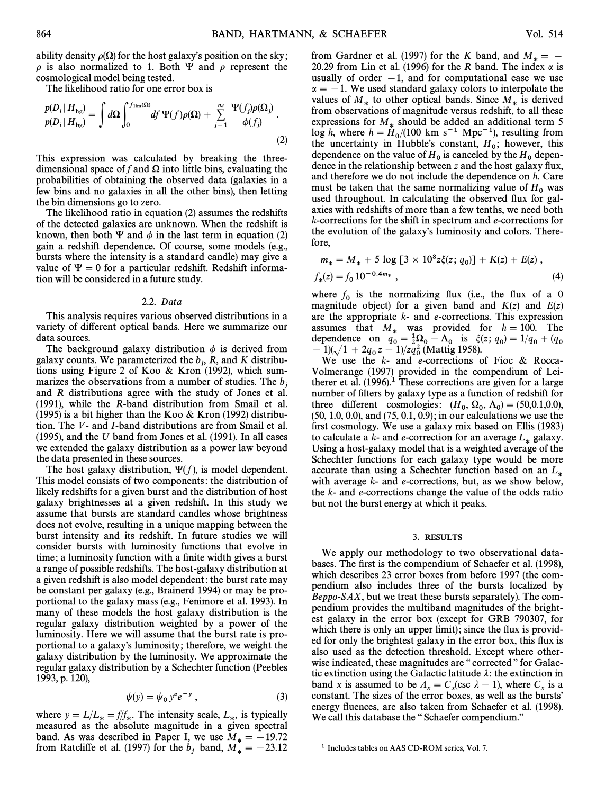ability density  $\rho(\Omega)$  for the host galaxy's position on the sky;  $\rho$  is also normalized to 1. Both  $\Psi$  and  $\rho$  represent the cosmological model being tested.

The likelihood ratio for one error box is

$$
\frac{p(D_i | H_{\text{hg}})}{p(D_i | H_{\text{bg}})} = \int d\Omega \int_0^{f_{\text{lim}}(\Omega)} df \Psi(f) \rho(\Omega) + \sum_{j=1}^{n_d} \frac{\Psi(f_j) \rho(\Omega_j)}{\phi(f_j)}.
$$
\n(2)

This expression was calculated by breaking the threedimensional space of f and  $\Omega$  into little bins, evaluating the probabilities of obtaining the observed data (galaxies in a few bins and no galaxies in all the other bins), then letting the bin dimensions go to zero.

The likelihood ratio in equation (2) assumes the redshifts of the detected galaxies are unknown. When the redshift is known, then both  $\Psi$  and  $\phi$  in the last term in equation (2) gain a redshift dependence. Of course, some models (e.g., bursts where the intensity is a standard candle) may give a value of  $\Psi = 0$  for a particular redshift. Redshift information will be considered in a future study.

# 2.2. Data

This analysis requires various observed distributions in a variety of di†erent optical bands. Here we summarize our data sources.

The background galaxy distribution  $\phi$  is derived from galaxy counts. We parameterized the  $b_j$ , R, and K distribu-<br>tions using Figure 2 of Koo & K con (1992), which sumtions using Figure 2 of Koo & Kron (1992), which summarizes the observations from a number of studies. The  $b_i$ and R distributions agree with the study of Jones et al. (1991), while the R-band distribution from Smail et al. (1995) is a bit higher than the Koo  $\&$  Kron (1992) distribution. The V- and I-band distributions are from Smail et al. (1995), and the U band from Jones et al. (1991). In all cases we extended the galaxy distribution as a power law beyond the data presented in these sources.

The host galaxy distribution,  $\Psi(f)$ , is model dependent. This model consists of two components : the distribution of likely redshifts for a given burst and the distribution of host galaxy brightnesses at a given redshift. In this study we assume that bursts are standard candles whose brightness does not evolve, resulting in a unique mapping between the burst intensity and its redshift. In future studies we will consider bursts with luminosity functions that evolve in time; a luminosity function with a finite width gives a burst a range of possible redshifts. The host-galaxy distribution at a given redshift is also model dependent: the burst rate may be constant per galaxy (e.g., Brainerd 1994) or may be proportional to the galaxy mass (e.g., Fenimore et al. 1993). In many of these models the host galaxy distribution is the regular galaxy distribution weighted by a power of the luminosity. Here we will assume that the burst rate is proportional to a galaxy's luminosity; therefore, we weight the galaxy distribution by the luminosity. We approximate the regular galaxy distribution by a Schechter function (Peebles 1993, p. 120),

$$
\psi(y) = \psi_0 y^x e^{-y}, \qquad (3)
$$

where  $y = L/L_* = f/f_*$ . The intensity scale,  $L_*$ , is typically measured as the absolute magnitude in a given spectral where  $y = E/E_* = f/f_*$ . The measured  $E_*$ , is typically measured as the absolute magnitude in a given spectral band. As was described in Paper I, we use  $M_* = -19.72$ from Ratcliffe et al. (1997) for the  $b_j$  band,  $M_* = -23.12$ 

from Gardner et al. (1997) for the K band, and  $M_* = -$ 20.29 from Lin et al. (1996) for the R band. The index  $\alpha$  is usually of order  $-1$ , and for computational ease we use  $\alpha = -1$ . We used standard galaxy colors to interpolate the values of  $M_*$  to other optical bands. Since  $M_*$  is derived from observations of magnitude versus redshift, to all these expressions for  $M_*$  should be added an additional term 5 log h, where  $h = H_0/(100 \text{ km s}^{-1} \text{ Mpc}^{-1})$ , resulting from the uncertainty in Hubble's constant  $H$ ; however this the uncertainty in Hubble's constant,  $H_0$ ; however, this dependence on the value of H is canceled by the H dependence dependence on the value of  $H_0$  is canceled by the  $H_0$  dependence in the relationship between  $z$  and the host galaxy flux, and therefore we do not include the dependence on h. Care must be taken that the same normalizing value of  $H_0$  was used throughout. In calculating the observed flux for galaxies with redshifts of more than a few tenths, we need both k-corrections for the shift in spectrum and e-corrections for the evolution of the galaxy's luminosity and colors. Therefore,

$$
m_* = M_* + 5 \log [3 \times 10^8 z \xi(z; q_0)] + K(z) + E(z) ,
$$
  

$$
f_*(z) = f_0 10^{-0.4m_*} ,
$$
 (4)

where  $f_0$  is the normalizing flux (i.e., the flux of a 0 magnitude object) for a given band and  $K(z)$  and  $F(z)$ magnitude object) for a given band and  $K(z)$  and  $E(z)$ are the appropriate  $k$ - and  $e$ -corrections. This expression assumes that  $M_*$  was provided for  $h = 100$ . The dependence on  $q_0 = \frac{1}{2}\Omega_0 - \Lambda_0$  is  $\xi(z; q_0) = 1/q_0 + (q_0 - 1)(\sqrt{1 + 2q_0 z} - 1)/zq_0^2$  (Mattig 1958).<br>We use the k- and ecorrections of Fine & Bosses

We use the  $k$ - and  $e$ -corrections of Fioc  $\&$  Rocca-Volmerange (1997) provided in the compendium of Leitherer et al.  $(1996)^{1}$ . These corrections are given for a large number of filters by galaxy type as a function of redshift for three different cosmologies:  $(H_0, \Omega_0, \Lambda_0) = (50, 0.1, 0.0)$ <br>(50,1,0,0), and (75,0,1,0,0), in our calculations we use the (50, 1.0, 0.0), and (75, 0.1, 0.9) ; in our calculations we use the first cosmology. We use a galaxy mix based on Ellis (1983) to calculate a k- and e-correction for an average  $L_*$  galaxy. Using a host-galaxy model that is a weighted average of the Schechter functions for each galaxy type would be more accurate than using a Schechter function based on an  $L_*$  with average k- and e-corrections, but, as we show below, the k- and e-corrections change the value of the odds ratio but not the burst energy at which it peaks.

## 3. RESULTS

We apply our methodology to two observational databases. The first is the compendium of Schaefer et al. (1998), which describes 23 error boxes from before 1997 (the compendium also includes three of the bursts localized by  $Beppo-SAX$ , but we treat these bursts separately). The compendium provides the multiband magnitudes of the brightest galaxy in the error box (except for GRB 790307, for which there is only an upper limit); since the flux is provided for only the brightest galaxy in the error box, this flux is also used as the detection threshold. Except where otherwise indicated, these magnitudes are "corrected" for Galactic extinction using the Galactic latitude  $\lambda$ : the extinction in band x is assumed to be  $A_x = C_x(\csc \lambda - 1)$ , where  $C_x$  is a constant. The sizes of the error boxes, as well as the bursts' energy Ñuences, are also taken from Schaefer et al. (1998). We call this database the "Schaefer compendium."

<sup>1</sup> Includes tables on AAS CD-ROM series, Vol. 7.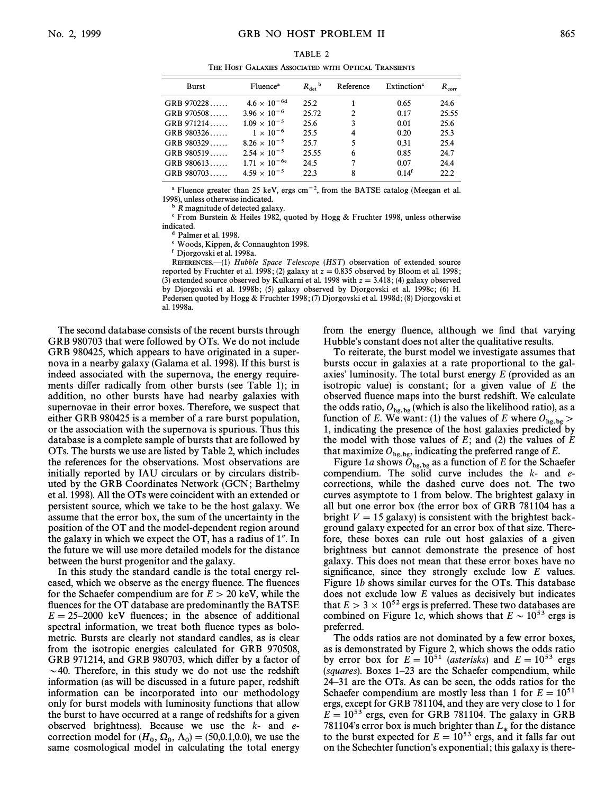## TABLE 2

THE HOST GALAXIES ASSOCIATED WITH OPTICAL TRANSIENTS

| <b>Burst</b> | Fluence <sup>a</sup>   | $R_{\text{det}}^{\text{b}}$ | Reference | Extinction <sup>c</sup> | $R_{\rm corr}$ |
|--------------|------------------------|-----------------------------|-----------|-------------------------|----------------|
| GRB $970228$ | $4.6 \times 10^{-6d}$  | 25.2                        |           | 0.65                    | 24.6           |
| GRB 970508   | $3.96 \times 10^{-6}$  | 25.72                       | 2         | 0.17                    | 25.55          |
| GRB 971214   | $1.09 \times 10^{-5}$  | 25.6                        | 3         | 0.01                    | 25.6           |
| GRB 980326   | $1 \times 10^{-6}$     | 25.5                        | 4         | 0.20                    | 25.3           |
| GRB 980329   | $8.26 \times 10^{-5}$  | 25.7                        | 5         | 0.31                    | 25.4           |
| GRB 980519   | $2.54 \times 10^{-5}$  | 25.55                       | 6         | 0.85                    | 24.7           |
| GRB 980613   | $1.71 \times 10^{-6e}$ | 24.5                        | 7         | 0.07                    | 24.4           |
| GRB 980703   | $4.59 \times 10^{-5}$  | 22.3                        | 8         | 0.14 <sup>f</sup>       | 22.2           |

<sup>a</sup> Fluence greater than 25 keV, ergs cm<sup> $-2$ </sup>, from the BATSE catalog (Meegan et al. 1998), unless otherwise indicated.

 $\Delta$ <sup>b</sup> R magnitude of detected galaxy.

c From Burstein & Heiles 1982, quoted by Hogg & Fruchter 1998, unless otherwise indicated.

d Palmer et al. 1998.

e Woods, Kippen, & Connaughton 1998.

f Djorgovski et al. 1998a.

REFERENCES. $\rightarrow$ (1) Hubble Space Telescope (HST) observation of extended source reported by Fruchter et al. 1998; (2) galaxy at  $z = 0.835$  observed by Bloom et al. 1998; (3) extended source observed by Kulkarni et al. 1998 with  $z = 3.418$ ; (4) galaxy observed by Djorgovski et al. 1998b; (5) galaxy observed by Djorgovski et al. 1998c; (6) H. Pedersen quoted by Hogg & Fruchter 1998 ; (7) Djorgovski et al. 1998d ; (8) Djorgovski et al. 1998a.

The second database consists of the recent bursts through GRB 980703 that were followed by OTs. We do not include GRB 980425, which appears to have originated in a supernova in a nearby galaxy (Galama et al. 1998). If this burst is indeed associated with the supernova, the energy requirements differ radically from other bursts (see Table 1); in addition, no other bursts have had nearby galaxies with supernovae in their error boxes. Therefore, we suspect that either GRB 980425 is a member of a rare burst population, or the association with the supernova is spurious. Thus this database is a complete sample of bursts that are followed by OTs. The bursts we use are listed by Table 2, which includes the references for the observations. Most observations are initially reported by IAU circulars or by circulars distributed by the GRB Coordinates Network (GCN; Barthelmy et al. 1998). All the OTs were coincident with an extended or persistent source, which we take to be the host galaxy. We assume that the error box, the sum of the uncertainty in the position of the OT and the model-dependent region around the galaxy in which we expect the  $\overline{OT}$ , has a radius of 1<sup>"</sup>. In the future we will use more detailed models for the distance between the burst progenitor and the galaxy.

In this study the standard candle is the total energy released, which we observe as the energy fluence. The fluences for the Schaefer compendium are for  $E > 20$  keV, while the fluences for the OT database are predominantly the BATSE  $E = 25-2000$  keV fluences; in the absence of additional spectral information, we treat both fluence types as bolometric. Bursts are clearly not standard candles, as is clear from the isotropic energies calculated for GRB 970508, GRB 971214, and GRB 980703, which differ by a factor of  $\sim$  40. Therefore, in this study we do not use the redshift information (as will be discussed in a future paper, redshift information can be incorporated into our methodology only for burst models with luminosity functions that allow the burst to have occurred at a range of redshifts for a given observed brightness). Because we use the  $k$ - and  $e$ correction model for  $(H_0, \Omega_0, \Lambda_0) = (50, 0.1, 0.0)$ , we use the same cosmological model in calculating the total energy same cosmological model in calculating the total energy

from the energy fluence, although we find that varying Hubble's constant does not alter the qualitative results.

To reiterate, the burst model we investigate assumes that bursts occur in galaxies at a rate proportional to the galaxies' luminosity. The total burst energy  $E$  (provided as an isotropic value) is constant; for a given value of  $E$  the observed fluence maps into the burst redshift. We calculate the odds ratio,  $O_{hg, bg}$  (which is also the likelihood ratio), as a function of E. We want: (1) the values of E where  $O_{hg, bg}$ 1, indicating the presence of the host galaxies predicted by the model with those values of  $E$ ; and (2) the values of  $E$ that maximize  $O_{hg, bg}$ , indicating the preferred range of E.

Figure 1a shows  $\tilde{O}_{hg, bg}$  as a function of E for the Schaefer compendium. The solid curve includes the  $k$ - and  $e$ corrections, while the dashed curve does not. The two curves asymptote to 1 from below. The brightest galaxy in all but one error box (the error box of GRB 781104 has a bright  $V = 15$  galaxy) is consistent with the brightest background galaxy expected for an error box of that size. Therefore, these boxes can rule out host galaxies of a given brightness but cannot demonstrate the presence of host galaxy. This does not mean that these error boxes have no significance, since they strongly exclude low  $E$  values. Figure 1b shows similar curves for the OTs. This database does not exclude low E values as decisively but indicates that  $E > 3 \times 10^{52}$  ergs is preferred. These two databases are combined on Figure 1c, which shows that  $E \sim 10^{53}$  ergs is preferred.

The odds ratios are not dominated by a few error boxes, as is demonstrated by Figure 2, which shows the odds ratio by error box for  $E = 10^{51}$  (asterisks) and  $E = 10^{53}$  ergs (squares). Boxes  $1-23$  are the Schaefer compendium, while 24–31 are the OTs. As can be seen, the odds ratios for the Schaefer compendium are mostly less than 1 for  $E = 10^{51}$ ergs, except for GRB 781104, and they are very close to 1 for  $E = 10^{53}$  ergs, even for GRB 781104. The galaxy in GRB 781104's error box is much brighter than  $L_*$  for the distance to the burst expected for  $E = 10^{53}$  ergs, and it falls far out on the Schechter function's exponential; this galaxy is there-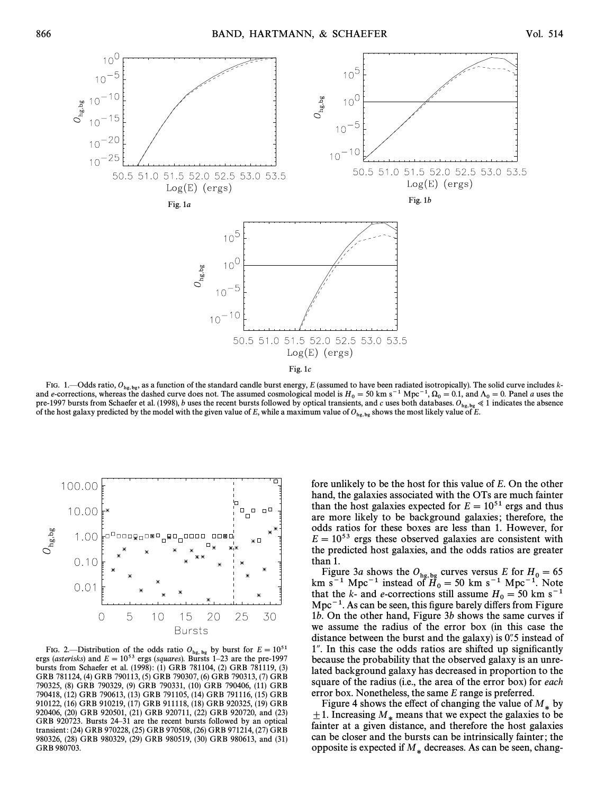

FIG. 1.—Odds ratio,  $O_{\text{hg},\text{bg}}$ , as a function of the standard candle burst energy, E (assumed to have been radiated isotropically). The solid curve includes k-<br>d e corrections, whereas the dashed curve does not. The a and e-corrections, whereas the dashed curve does not. The assumed cosmological model is  $H_0 = 50$  km s<sup>-1</sup> Mpc<sup>-1</sup>,  $\Omega_0 = 0.1$ , and  $\Lambda_0 = 0$ . Panel a uses the negative state of  $\Lambda_0$  and  $\Lambda_0 = 0$ . Panel a uses the obs pre-1997 bursts from Schaefer et al. (1998), b uses the recent bursts followed by optical transients, and c uses both databases.  $O_{\text{he, be}} \le 1$  indicates the absence of the host galaxy predicted by the model with the given value of E, while a maximum value of  $O_{\text{he, be}}$  shows the most likely value of E.



FIG. 2.—Distribution of the odds ratio  $O_{hg, bg}$  by burst for  $E = 10^{51}$  ergs (squares). Bursts 1–23 are the pre-1997 bursts from Schaefer et al. (1998): (1) GRB 781104, (2) GRB 781119, (3) GRB 781124, (4) GRB 790113, (5) GRB 790307, (6) GRB 790313, (7) GRB 790325, (8) GRB 790329, (9) GRB 790331, (10) GRB 790406, (11) GRB 790418, (12) GRB 790613, (13) GRB 791105, (14) GRB 791116, (15) GRB 910122, (16) GRB 910219, (17) GRB 911118, (18) GRB 920325, (19) GRB 920406, (20) GRB 920501, (21) GRB 920711, (22) GRB 920720, and (23) GRB 920723. Bursts 24–31 are the recent bursts followed by an optical transient : (24) GRB 970228, (25) GRB 970508, (26) GRB 971214, (27) GRB 980326, (28) GRB 980329, (29) GRB 980519, (30) GRB 980613, and (31) GRB 980703.

fore unlikely to be the host for this value of E. On the other hand, the galaxies associated with the OTs are much fainter than the host galaxies expected for  $E = 10^{51}$  ergs and thus are more likely to be background galaxies; therefore, the odds ratios for these boxes are less than 1. However, for  $E = 10^{53}$  ergs these observed galaxies are consistent with the predicted host galaxies, and the odds ratios are greater than 1.

Figure 3a shows the  $O_{hg,bg}$  curves versus E for  $H_0 = 65$ <br>a s<sup>-1</sup> Mpc<sup>-1</sup> instead of  $H_0 = 50$  km s<sup>-1</sup> Mpc<sup>-1</sup> Note km s<sup>-1</sup> Mpc<sup>-1</sup> instead of  $H_0 = 50$  km s<sup>-1</sup> Mpc<sup>-1</sup>. Note that the k- and e-corrections still assume  $H_1 = 50$  km s<sup>-1</sup> that the k- and e-corrections still assume  $H_0 = 50 \text{ km s}^{-1}$ <br>Mpc<sup>-1</sup> As can be seen this figure hargly differs from Eigure  $Mpc^{-1}$ . As can be seen, this figure barely differs from Figure 1b. On the other hand, Figure 3b shows the same curves if we assume the radius of the error box (in this case the distance between the burst and the galaxy) is  $0.5$  instead of 1". In this case the odds ratios are shifted up significantly because the probability that the observed galaxy is an unrelated background galaxy has decreased in proportion to the square of the radius (i.e., the area of the error box) for *each* error box. Nonetheless, the same E range is preferred.

Figure 4 shows the effect of changing the value of  $M_*$  by  $\pm 1$ . Increasing  $M_*$  means that we expect the galaxies to be fainter at a given distance, and therefore the host galaxies can be closer and the bursts can be intrinsically fainter ; the opposite is expected if  $M_*$  decreases. As can be seen, chang-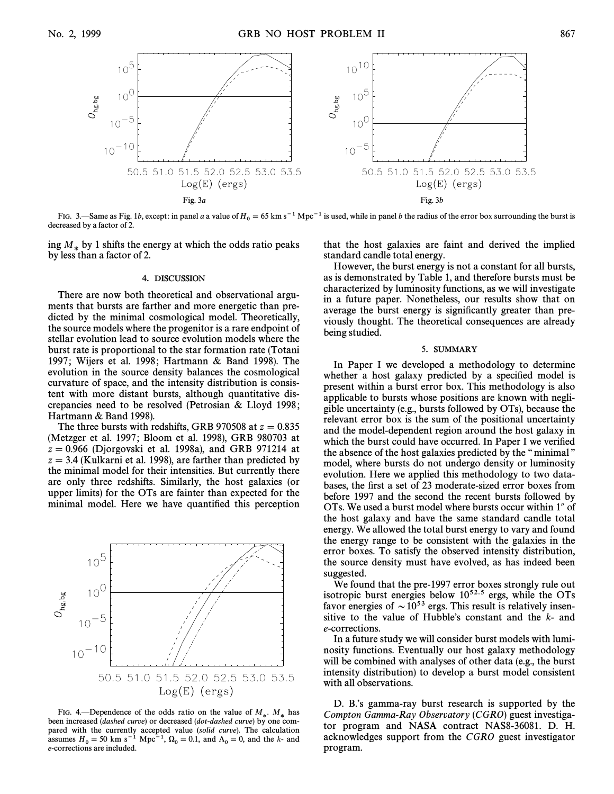

FIG. 3.—Same as Fig. 1b, except: in panel a a value of  $H_0 = 65 \text{ km s}^{-1} \text{ Mpc}^{-1}$  is used, while in panel b the radius of the error box surrounding the burst is reased by a factor of 2 decreased by a factor of 2.

ing  $M_*$  by 1 shifts the energy at which the odds ratio peaks by less than a factor of 2.

# 4. DISCUSSION

There are now both theoretical and observational arguments that bursts are farther and more energetic than predicted by the minimal cosmological model. Theoretically, the source models where the progenitor is a rare endpoint of stellar evolution lead to source evolution models where the burst rate is proportional to the star formation rate (Totani 1997; Wijers et al. 1998; Hartmann & Band 1998). The evolution in the source density balances the cosmological curvature of space, and the intensity distribution is consistent with more distant bursts, although quantitative discrepancies need to be resolved (Petrosian & Lloyd 1998 ; Hartmann & Band 1998).

The three bursts with redshifts, GRB 970508 at  $z = 0.835$ (Metzger et al. 1997; Bloom et al. 1998), GRB 980703 at  $z = 0.966$  (Djorgovski et al. 1998a), and GRB 971214 at  $z = 3.4$  (Kulkarni et al. 1998), are farther than predicted by the minimal model for their intensities. But currently there are only three redshifts. Similarly, the host galaxies (or upper limits) for the OTs are fainter than expected for the minimal model. Here we have quantified this perception



FIG. 4.—Dependence of the odds ratio on the value of  $M_*$ .  $M_*$  has been increased (dashed curve) or decreased (dot-dashed curve) by one compared with the currently accepted value (solid curve). The calculation assumes  $H_0 = 50 \text{ km s}^{-1} \text{ Mpc}^{-1}$ ,  $\Omega_0 = 0.1$ , and  $\Lambda_0 = 0$ , and the k- and a corrections are included e-corrections are included.

that the host galaxies are faint and derived the implied standard candle total energy.

However, the burst energy is not a constant for all bursts, as is demonstrated by Table 1, and therefore bursts must be characterized by luminosity functions, as we will investigate in a future paper. Nonetheless, our results show that on average the burst energy is significantly greater than previously thought. The theoretical consequences are already being studied.

#### 5. SUMMARY

In Paper I we developed a methodology to determine whether a host galaxy predicted by a specified model is present within a burst error box. This methodology is also applicable to bursts whose positions are known with negligible uncertainty (e.g., bursts followed by OTs), because the relevant error box is the sum of the positional uncertainty and the model-dependent region around the host galaxy in which the burst could have occurred. In Paper I we verified the absence of the host galaxies predicted by the "minimal" model, where bursts do not undergo density or luminosity evolution. Here we applied this methodology to two databases, the first a set of 23 moderate-sized error boxes from before 1997 and the second the recent bursts followed by OTs. We used a burst model where bursts occur within 1<sup>n</sup> of the host galaxy and have the same standard candle total energy. We allowed the total burst energy to vary and found the energy range to be consistent with the galaxies in the error boxes. To satisfy the observed intensity distribution, the source density must have evolved, as has indeed been suggested.

We found that the pre-1997 error boxes strongly rule out isotropic burst energies below  $10^{52.5}$  ergs, while the OTs favor energies of  $\sim 10^{53}$  ergs. This result is relatively insensitive to the value of Hubble's constant and the  $k$ - and e-corrections.

In a future study we will consider burst models with luminosity functions. Eventually our host galaxy methodology will be combined with analyses of other data (e.g., the burst intensity distribution) to develop a burst model consistent with all observations.

D. B.'s gamma-ray burst research is supported by the Compton Gamma-Ray Observatory (CGRO) guest investigator program and NASA contract NAS8-36081. D. H. acknowledges support from the CGRO guest investigator program.